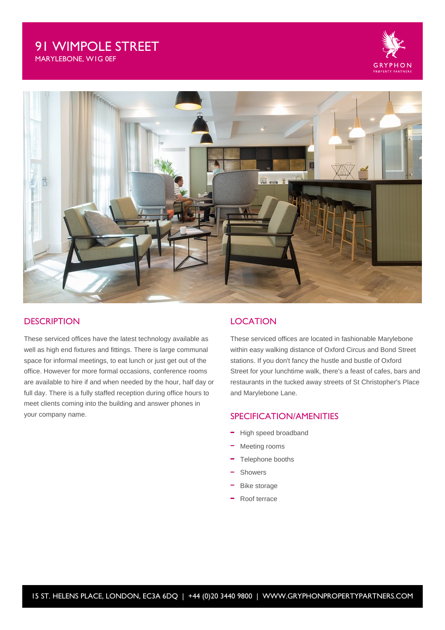# 91 WIMPOLE STREET

MARYLEBONE, W1G 0EF





## **DESCRIPTION**

These serviced offices have the latest technology available as well as high end fixtures and fittings. There is large communal space for informal meetings, to eat lunch or just get out of the office. However for more formal occasions, conference rooms are available to hire if and when needed by the hour, half day or full day. There is a fully staffed reception during office hours to meet clients coming into the building and answer phones in your company name.

#### **LOCATION**

These serviced offices are located in fashionable Marylebone within easy walking distance of Oxford Circus and Bond Street stations. If you don't fancy the hustle and bustle of Oxford Street for your lunchtime walk, there's a feast of cafes, bars and restaurants in the tucked away streets of St Christopher's Place and Marylebone Lane.

### SPECIFICATION/AMENITIES

- High speed broadband
- Meeting rooms
- Telephone booths
- Showers
- Bike storage
- Roof terrace